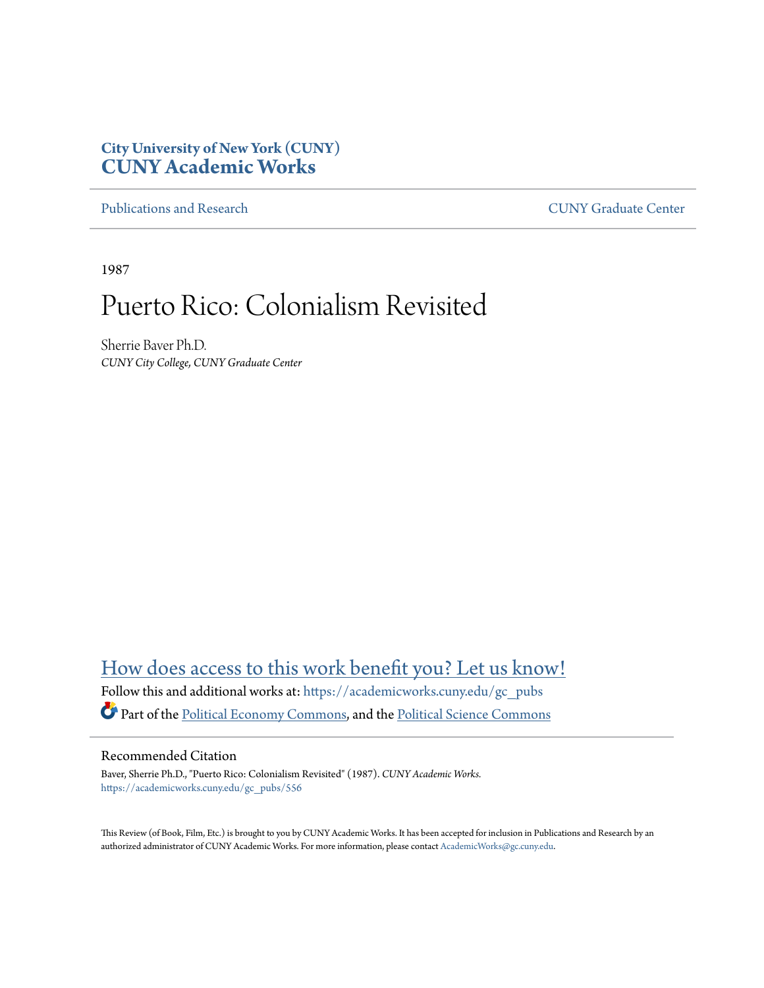## **City University of New York (CUNY) [CUNY Academic Works](https://academicworks.cuny.edu/?utm_source=academicworks.cuny.edu%2Fgc_pubs%2F556&utm_medium=PDF&utm_campaign=PDFCoverPages)**

[Publications and Research](https://academicworks.cuny.edu/gc_pubs?utm_source=academicworks.cuny.edu%2Fgc_pubs%2F556&utm_medium=PDF&utm_campaign=PDFCoverPages) [CUNY Graduate Center](https://academicworks.cuny.edu/gc?utm_source=academicworks.cuny.edu%2Fgc_pubs%2F556&utm_medium=PDF&utm_campaign=PDFCoverPages)

1987

# Puerto Rico: Colonialism Revisited

Sherrie Baver Ph.D. *CUNY City College, CUNY Graduate Center*

# [How does access to this work benefit you? Let us know!](http://ols.cuny.edu/academicworks/?ref=https://academicworks.cuny.edu/gc_pubs/556)

Follow this and additional works at: [https://academicworks.cuny.edu/gc\\_pubs](https://academicworks.cuny.edu/gc_pubs?utm_source=academicworks.cuny.edu%2Fgc_pubs%2F556&utm_medium=PDF&utm_campaign=PDFCoverPages) Part of the [Political Economy Commons,](http://network.bepress.com/hgg/discipline/352?utm_source=academicworks.cuny.edu%2Fgc_pubs%2F556&utm_medium=PDF&utm_campaign=PDFCoverPages) and the [Political Science Commons](http://network.bepress.com/hgg/discipline/386?utm_source=academicworks.cuny.edu%2Fgc_pubs%2F556&utm_medium=PDF&utm_campaign=PDFCoverPages)

### Recommended Citation

Baver, Sherrie Ph.D., "Puerto Rico: Colonialism Revisited" (1987). *CUNY Academic Works.* [https://academicworks.cuny.edu/gc\\_pubs/556](https://academicworks.cuny.edu/gc_pubs/556?utm_source=academicworks.cuny.edu%2Fgc_pubs%2F556&utm_medium=PDF&utm_campaign=PDFCoverPages)

This Review (of Book, Film, Etc.) is brought to you by CUNY Academic Works. It has been accepted for inclusion in Publications and Research by an authorized administrator of CUNY Academic Works. For more information, please contact [AcademicWorks@gc.cuny.edu.](mailto:AcademicWorks@gc.cuny.edu%3E)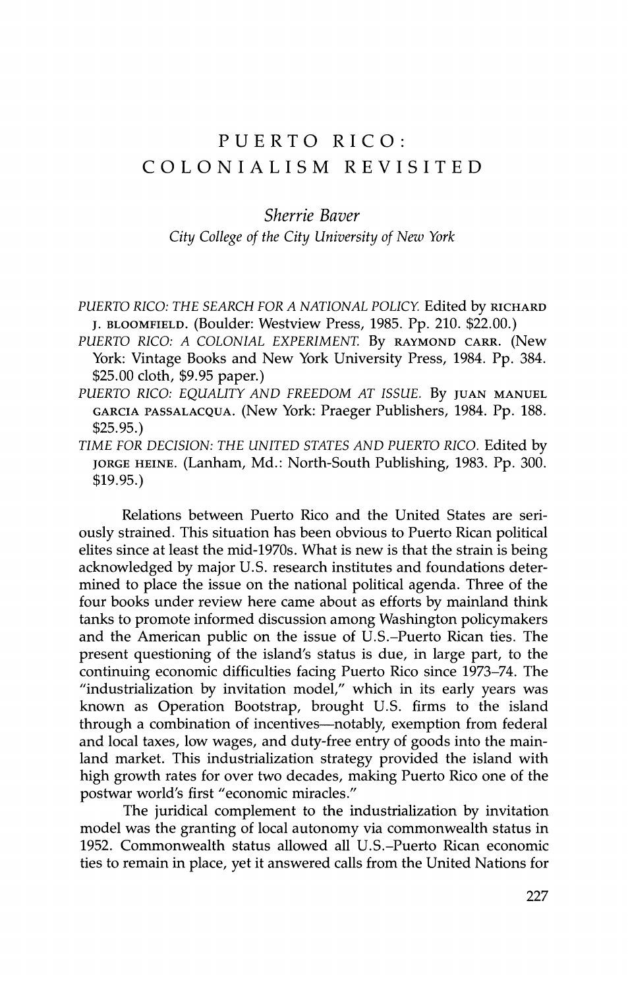### PUERTO RICO: COLONIALISM REVISITED

#### Sherrie Baver City College of the City University of New York

PUERTO RICO: THE SEARCH FOR A NATIONAL POLICY. Edited by RICHARD J. BLOOMFIELD. (Boulder: Westview Press, 1985. Pp. 210. \$22.00.)

PUERTO RICO: A COLONIAL EXPERIMENT. By RAYMOND CARR. (New York: Vintage Books and New York University Press, 1984. Pp. 384. \$25.00 cloth, \$9.95 paper.)

- PUERTO RICO: EQUALITY AND FREEDOM AT ISSUE. By JUAN MANUEL GARCIA PASSALACQUA. (New York: Praeger Publishers, 1984. Pp. 188. \$25.95.)
- TIME FOR DECISION: THE UNITED STATES AND PUERTO RICO. Edited by JORGE HEINE. (Lanham, Md.: North-South Publishing, 1983. Pp. 300. \$19.95.)

 Relations between Puerto Rico and the United States are seri ously strained. This situation has been obvious to Puerto Rican political elites since at least the mid-1970s. What is new is that the strain is being acknowledged by major U.S. research institutes and foundations deter mined to place the issue on the national political agenda. Three of the four books under review here came about as efforts by mainland think tanks to promote informed discussion among Washington policymakers and the American public on the issue of U.S.-Puerto Rican ties. The present questioning of the island's status is due, in large part, to the continuing economic difficulties facing Puerto Rico since 1973-74. The "industrialization by invitation model," which in its early years was known as Operation Bootstrap, brought U.S. firms to the island through a combination of incentives-notably, exemption from federal and local taxes, low wages, and duty-free entry of goods into the main land market. This industrialization strategy provided the island with high growth rates for over two decades, making Puerto Rico one of the postwar world's first "economic miracles."

 The juridical complement to the industrialization by invitation model was the granting of local autonomy via commonwealth status in 1952. Commonwealth status allowed all U.S.-Puerto Rican economic ties to remain in place, yet it answered calls from the United Nations for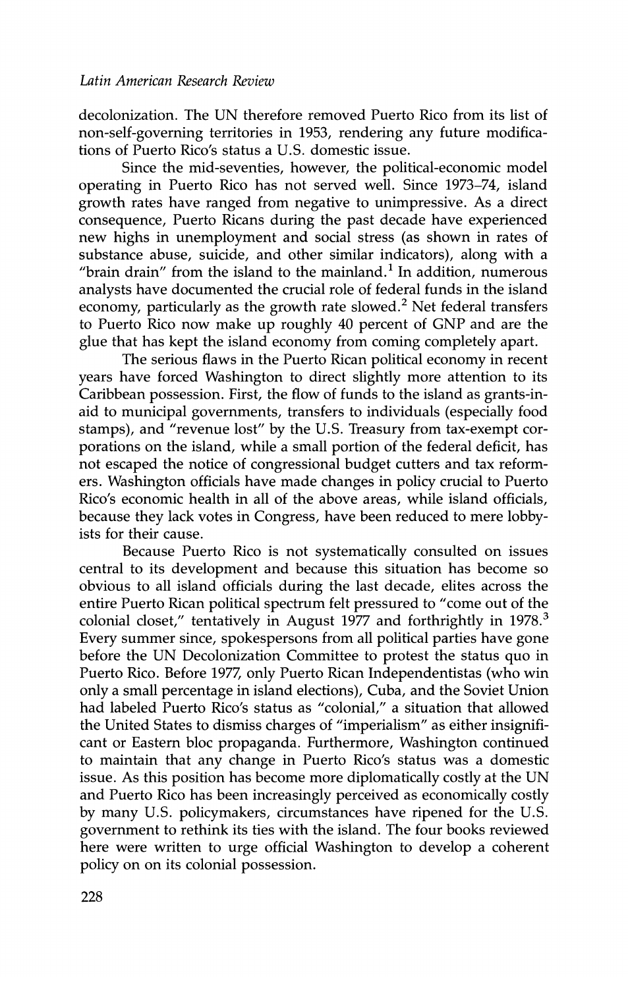decolonization. The UN therefore removed Puerto Rico from its list of non-self-governing territories in 1953, rendering any future modifica tions of Puerto Rico's status a U.S. domestic issue.

 Since the mid-seventies, however, the political-economic model operating in Puerto Rico has not served well. Since 1973-74, island growth rates have ranged from negative to unimpressive. As a direct consequence, Puerto Ricans during the past decade have experienced new highs in unemployment and social stress (as shown in rates of substance abuse, suicide, and other similar indicators), along with a "brain drain" from the island to the mainland.<sup>1</sup> In addition, numerous analysts have documented the crucial role of federal funds in the island economy, particularly as the growth rate slowed.<sup>2</sup> Net federal transfers to Puerto Rico now make up roughly 40 percent of GNP and are the glue that has kept the island economy from coming completely apart.

 The serious flaws in the Puerto Rican political economy in recent years have forced Washington to direct slightly more attention to its Caribbean possession. First, the flow of funds to the island as grants-in aid to municipal governments, transfers to individuals (especially food stamps), and "revenue lost" by the U.S. Treasury from tax-exempt cor porations on the island, while a small portion of the federal deficit, has not escaped the notice of congressional budget cutters and tax reform ers. Washington officials have made changes in policy crucial to Puerto Rico's economic health in all of the above areas, while island officials, because they lack votes in Congress, have been reduced to mere lobby ists for their cause.

 Because Puerto Rico is not systematically consulted on issues central to its development and because this situation has become so obvious to all island officials during the last decade, elites across the entire Puerto Rican political spectrum felt pressured to "come out of the colonial closet," tentatively in August 1977 and forthrightly in  $1978$ <sup>3</sup> Every summer since, spokespersons from all political parties have gone before the UN Decolonization Committee to protest the status quo in Puerto Rico. Before 1977, only Puerto Rican Independentistas (who win only a small percentage in island elections), Cuba, and the Soviet Union had labeled Puerto Rico's status as "colonial," a situation that allowed the United States to dismiss charges of "imperialism" as either insignifi cant or Eastern bloc propaganda. Furthermore, Washington continued to maintain that any change in Puerto Rico's status was a domestic issue. As this position has become more diplomatically costly at the UN and Puerto Rico has been increasingly perceived as economically costly by many U.S. policymakers, circumstances have ripened for the U.S. government to rethink its ties with the island. The four books reviewed here were written to urge official Washington to develop a coherent policy on on its colonial possession.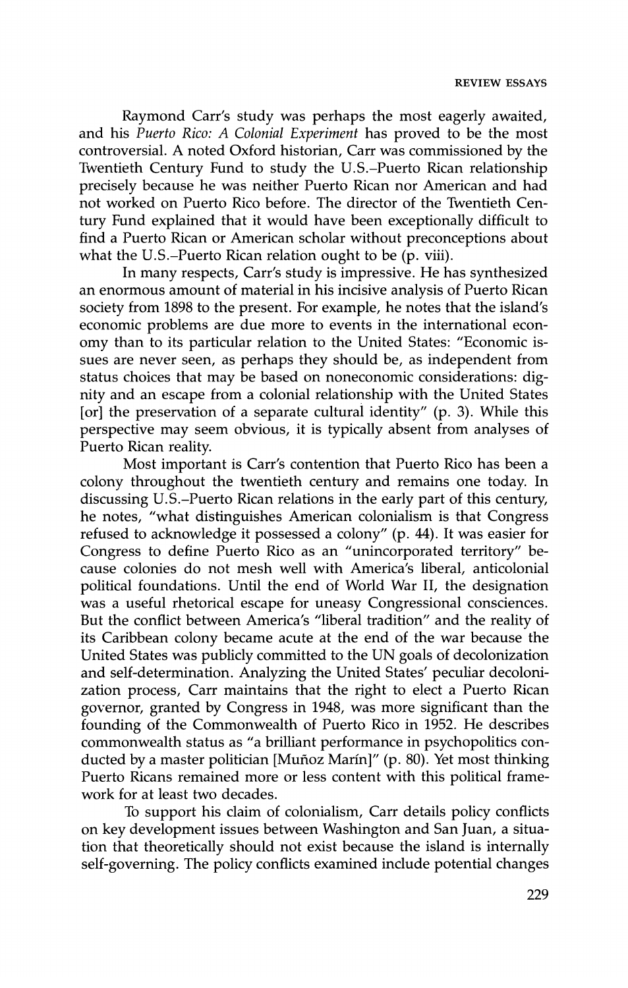Raymond Carr's study was perhaps the most eagerly awaited, and his Puerto Rico: A Colonial Experiment has proved to be the most controversial. A noted Oxford historian, Carr was commissioned by the Twentieth Century Fund to study the U.S.-Puerto Rican relationship precisely because he was neither Puerto Rican nor American and had not worked on Puerto Rico before. The director of the Twentieth Cen tury Fund explained that it would have been exceptionally difficult to find a Puerto Rican or American scholar without preconceptions about what the U.S.-Puerto Rican relation ought to be (p. viii).

 In many respects, Carr's study is impressive. He has synthesized an enormous amount of material in his incisive analysis of Puerto Rican society from 1898 to the present. For example, he notes that the island's economic problems are due more to events in the international econ omy than to its particular relation to the United States: "Economic is sues are never seen, as perhaps they should be, as independent from status choices that may be based on noneconomic considerations: dig nity and an escape from a colonial relationship with the United States [or] the preservation of a separate cultural identity" (p. 3). While this perspective may seem obvious, it is typically absent from analyses of Puerto Rican reality.

 Most important is Carr's contention that Puerto Rico has been a colony throughout the twentieth century and remains one today. In discussing U.S.-Puerto Rican relations in the early part of this century, he notes, "what distinguishes American colonialism is that Congress refused to acknowledge it possessed a colony" (p. 44). It was easier for Congress to define Puerto Rico as an "unincorporated territory" be cause colonies do not mesh well with America's liberal, anticolonial political foundations. Until the end of World War II, the designation was a useful rhetorical escape for uneasy Congressional consciences. But the conflict between America's "liberal tradition" and the reality of its Caribbean colony became acute at the end of the war because the United States was publicly committed to the UN goals of decolonization and self-determination. Analyzing the United States' peculiar decoloni zation process, Carr maintains that the right to elect a Puerto Rican governor, granted by Congress in 1948, was more significant than the founding of the Commonwealth of Puerto Rico in 1952. He describes commonwealth status as "a brilliant performance in psychopolitics con ducted by a master politician [Mufnoz Marin]" (p. 80). Yet most thinking Puerto Ricans remained more or less content with this political frame work for at least two decades.

 To support his claim of colonialism, Carr details policy conflicts on key development issues between Washington and San Juan, a situa tion that theoretically should not exist because the island is internally self-governing. The policy conflicts examined include potential changes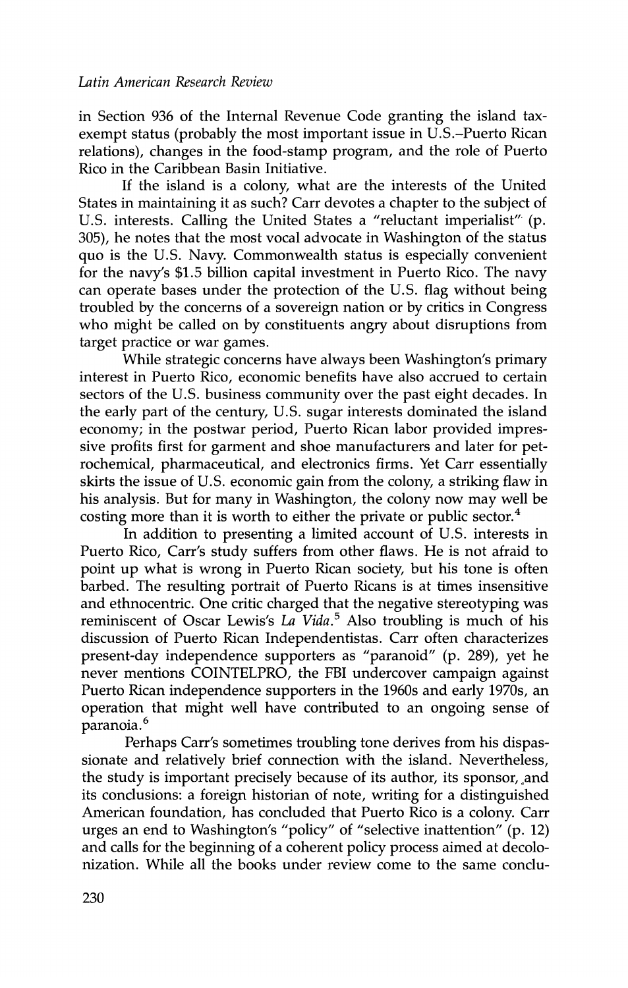in Section 936 of the Internal Revenue Code granting the island tax exempt status (probably the most important issue in U.S.-Puerto Rican relations), changes in the food-stamp program, and the role of Puerto Rico in the Caribbean Basin Initiative.

 If the island is a colony, what are the interests of the United States in maintaining it as such? Carr devotes a chapter to the subject of U.S. interests. Calling the United States a "reluctant imperialist" (p. 305), he notes that the most vocal advocate in Washington of the status quo is the U.S. Navy. Commonwealth status is especially convenient for the navy's \$1.5 billion capital investment in Puerto Rico. The navy can operate bases under the protection of the U.S. flag without being troubled by the concerns of a sovereign nation or by critics in Congress who might be called on by constituents angry about disruptions from target practice or war games.

 While strategic concems have always been Washington's primary interest in Puerto Rico, economic benefits have also accrued to certain sectors of the U.S. business community over the past eight decades. In the early part of the century, U.S. sugar interests dominated the island economy; in the postwar period, Puerto Rican labor provided impres sive profits first for garment and shoe manufacturers and later for pet rochemical, pharmaceutical, and electronics firms. Yet Carr essentially skirts the issue of U.S. economic gain from the colony, a striking flaw in his analysis. But for many in Washington, the colony now may well be costing more than it is worth to either the private or public sector.<sup>4</sup>

 In addition to presenting a limited account of U.S. interests in Puerto Rico, Carr's study suffers from other flaws. He is not afraid to point up what is wrong in Puerto Rican society, but his tone is often barbed. The resulting portrait of Puerto Ricans is at times insensitive and ethnocentric. One critic charged that the negative stereotyping was reminiscent of Oscar Lewis's  $La<sup>5</sup> Vida<sup>5</sup>$  Also troubling is much of his discussion of Puerto Rican Independentistas. Carr often characterizes present-day independence supporters as "paranoid" (p. 289), yet he never mentions COINTELPRO, the FBI undercover campaign against Puerto Rican independence supporters in the 1960s and early 1970s, an operation that might well have contributed to an ongoing sense of paranoia.6

 Perhaps Carr's sometimes troubling tone derives from his dispas sionate and relatively brief connection with the island. Nevertheless, the study is important precisely because of its author, its sponsor, and its conclusions: a foreign historian of note, writing for a distinguished American foundation, has concluded that Puerto Rico is a colony. Carr urges an end to Washington's "policy" of "selective inattention" (p. 12) and calls for the beginning of a coherent policy process aimed at decolo nization. While all the books under review come to the same conclu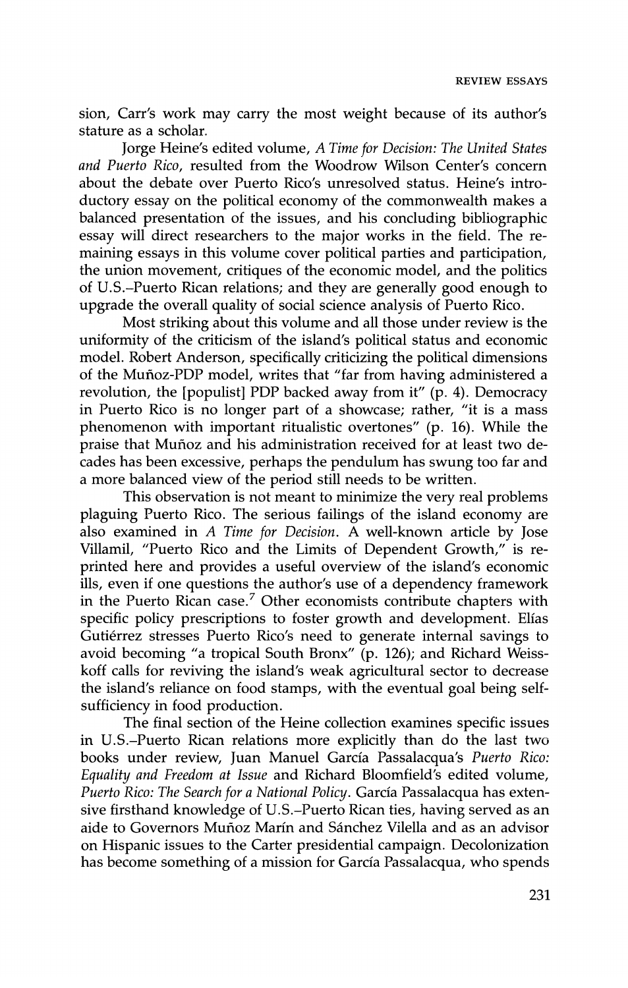sion, Carr's work may carry the most weight because of its author's stature as a scholar.

 Jorge Heine's edited volume, A Time for Decision: The United States and Puerto Rico, resulted from the Woodrow Wilson Center's concern about the debate over Puerto Rico's unresolved status. Heine's intro ductory essay on the political economy of the commonwealth makes a balanced presentation of the issues, and his concluding bibliographic essay will direct researchers to the major works in the field. The re maining essays in this volume cover political parties and participation, the union movement, critiques of the economic model, and the politics of U.S.-Puerto Rican relations; and they are generally good enough to upgrade the overall quality of social science analysis of Puerto Rico.

 Most striking about this volume and all those under review is the uniformity of the criticism of the island's political status and economic model. Robert Anderson, specifically criticizing the political dimensions of the Mufioz-PDP model, writes that "far from having administered a revolution, the [populist] PDP backed away from it"  $(p. 4)$ . Democracy in Puerto Rico is no longer part of a showcase; rather, "it is a mass phenomenon with important ritualistic overtones" (p. 16). While the praise that Munoz and his administration received for at least two de cades has been excessive, perhaps the pendulum has swung too far and a more balanced view of the period still needs to be written.

 This observation is not meant to minimize the very real problems plaguing Puerto Rico. The serious failings of the island economy are also examined in A Time for Decision. A well-known article by Jose Villamil, "Puerto Rico and the Limits of Dependent Growth," is re printed here and provides a useful overview of the island's economic ills, even if one questions the author's use of a dependency framework in the Puerto Rican case.<sup>7</sup> Other economists contribute chapters with specific policy prescriptions to foster growth and development. Elias Gutierrez stresses Puerto Rico's need to generate internal savings to avoid becoming "a tropical South Bronx" (p. 126); and Richard Weiss koff calls for reviving the island's weak agricultural sector to decrease the island's reliance on food stamps, with the eventual goal being self sufficiency in food production.

 The final section of the Heine collection examines specific issues in U.S.-Puerto Rican relations more explicitly than do the last two books under review, Juan Manuel García Passalacqua's Puerto Rico: Equality and Freedom at Issue and Richard Bloomfield's edited volume, Puerto Rico: The Search for a National Policy. Garcia Passalacqua has exten sive firsthand knowledge of U.S.-Puerto Rican ties, having served as an aide to Governors Muñoz Marín and Sánchez Vilella and as an advisor on Hispanic issues to the Carter presidential campaign. Decolonization has become something of a mission for Garcia Passalacqua, who spends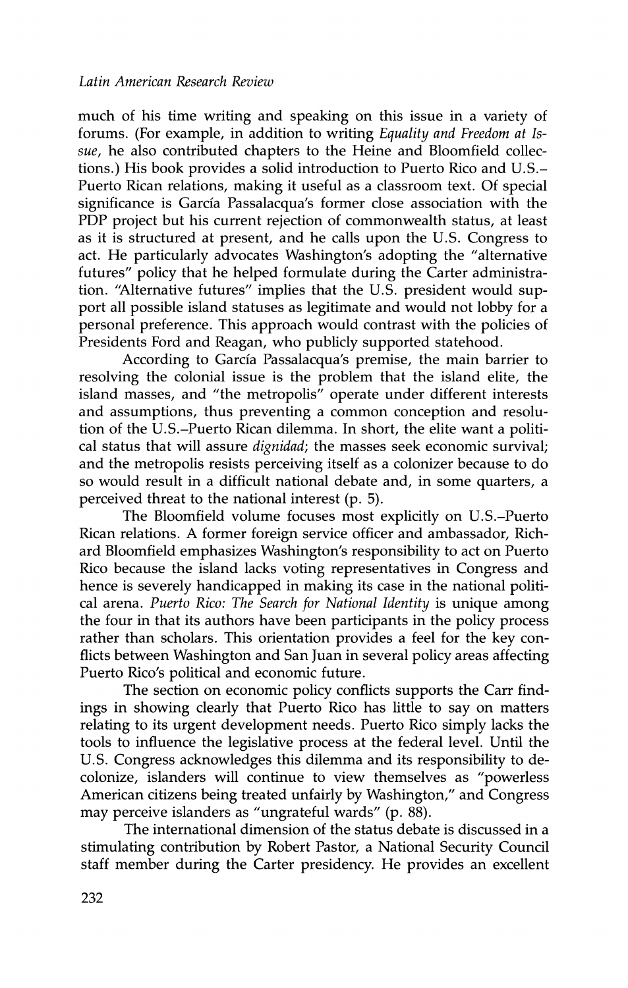much of his time writing and speaking on this issue in a variety of forums. (For example, in addition to writing Equality and Freedom at Is sue, he also contributed chapters to the Heine and Bloomfield collec tions.) His book provides a solid introduction to Puerto Rico and U.S.- Puerto Rican relations, making it useful as a classroom text. Of special significance is Garcia Passalacqua's former close association with the PDP project but his current rejection of commonwealth status, at least as it is structured at present, and he calls upon the U.S. Congress to act. He particularly advocates Washington's adopting the "alternative futures" policy that he helped formulate during the Carter administra tion. "Alternative futures" implies that the U.S. president would sup port all possible island statuses as legitimate and would not lobby for a personal preference. This approach would contrast with the policies of Presidents Ford and Reagan, who publicly supported statehood.

 According to Garcia Passalacqua's premise, the main barrier to resolving the colonial issue is the problem that the island elite, the island masses, and "the metropolis" operate under different interests and assumptions, thus preventing a common conception and resolu tion of the U.S.-Puerto Rican dilemma. In short, the elite want a politi cal status that will assure dignidad; the masses seek economic survival; and the metropolis resists perceiving itself as a colonizer because to do so would result in a difficult national debate and, in some quarters, a perceived threat to the national interest (p. 5).

 The Bloomfield volume focuses most explicitly on U.S.-Puerto Rican relations. A former foreign service officer and ambassador, Rich ard Bloomfield emphasizes Washington's responsibility to act on Puerto Rico because the island lacks voting representatives in Congress and hence is severely handicapped in making its case in the national politi cal arena. Puerto Rico: The Search for National Identity is unique among the four in that its authors have been participants in the policy process rather than scholars. This orientation provides a feel for the key con flicts between Washington and San Juan in several policy areas affecting Puerto Rico's political and economic future.

 The section on economic policy conflicts supports the Carr find ings in showing clearly that Puerto Rico has little to say on matters relating to its urgent development needs. Puerto Rico simply lacks the tools to influence the legislative process at the federal level. Until the U.S. Congress acknowledges this dilemma and its responsibility to de colonize, islanders will continue to view themselves as "powerless American citizens being treated unfairly by Washington," and Congress may perceive islanders as "ungrateful wards" (p. 88).

 The international dimension of the status debate is discussed in a stimulating contribution by Robert Pastor, a National Security Council staff member during the Carter presidency. He provides an excellent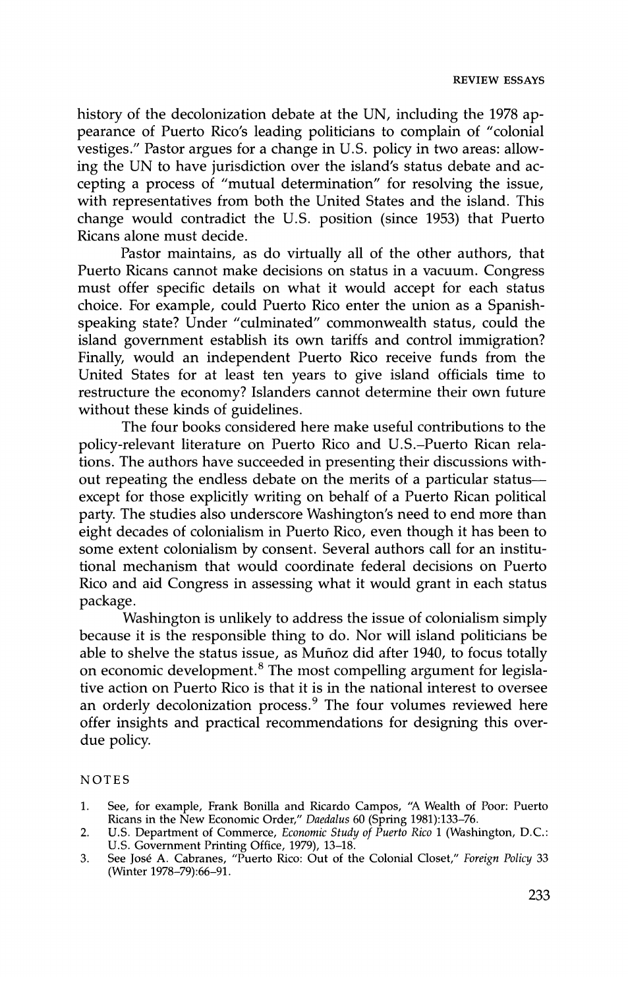history of the decolonization debate at the UN, including the 1978 ap pearance of Puerto Rico's leading politicians to complain of "colonial vestiges." Pastor argues for a change in U.S. policy in two areas: allow ing the UN to have jurisdiction over the island's status debate and ac cepting a process of "mutual determination" for resolving the issue, with representatives from both the United States and the island. This change would contradict the U.S. position (since 1953) that Puerto Ricans alone must decide.

 Pastor maintains, as do virtually all of the other authors, that Puerto Ricans cannot make decisions on status in a vacuum. Congress must offer specific details on what it would accept for each status choice. For example, could Puerto Rico enter the union as a Spanish speaking state? Under "culminated" commonwealth status, could the island government establish its own tariffs and control immigration? Finally, would an independent Puerto Rico receive funds from the United States for at least ten years to give island officials time to restructure the economy? Islanders cannot determine their own future without these kinds of guidelines.

 The four books considered here make useful contributions to the policy-relevant literature on Puerto Rico and U.S.-Puerto Rican rela tions. The authors have succeeded in presenting their discussions with out repeating the endless debate on the merits of a particular status except for those explicitly writing on behalf of a Puerto Rican political party. The studies also underscore Washington's need to end more than eight decades of colonialism in Puerto Rico, even though it has been to some extent colonialism by consent. Several authors call for an institu tional mechanism that would coordinate federal decisions on Puerto Rico and aid Congress in assessing what it would grant in each status package.

 Washington is unlikely to address the issue of colonialism simply because it is the responsible thing to do. Nor will island politicians be able to shelve the status issue, as Mufioz did after 1940, to focus totally on economic development.<sup>8</sup> The most compelling argument for legisla tive action on Puerto Rico is that it is in the national interest to oversee an orderly decolonization process.<sup>9</sup> The four volumes reviewed here offer insights and practical recommendations for designing this over due policy.

#### NOTES

- 1. See, for example, Frank Bonilla and Ricardo Campos, "A Wealth of Poor: Puerto Ricans in the New Economic Order," Daedalus 60 (Spring 1981):133-76.
- 2. U.S. Department of Commerce, Economic Study of Puerto Rico 1 (Washington, D.C.: U.S. Government Printing Office, 1979), 13-18.
- 3. See Jose A. Cabranes, "Puerto Rico: Out of the Colonial Closet," Foreign Policy 33 (Winter 1978-79):66-91.